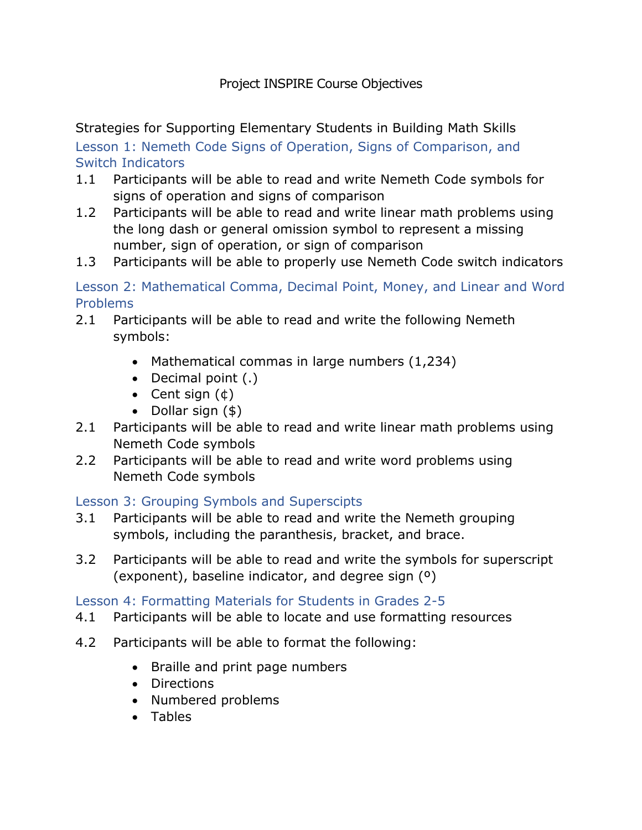### Project INSPIRE Course Objectives

Strategies for Supporting Elementary Students in Building Math Skills Lesson 1: Nemeth Code Signs of Operation, Signs of Comparison, and Switch Indicators

- 1.1 Participants will be able to read and write Nemeth Code symbols for signs of operation and signs of comparison
- 1.2 Participants will be able to read and write linear math problems using the long dash or general omission symbol to represent a missing number, sign of operation, or sign of comparison
- 1.3 Participants will be able to properly use Nemeth Code switch indicators

Lesson 2: Mathematical Comma, Decimal Point, Money, and Linear and Word Problems

- 2.1 Participants will be able to read and write the following Nemeth symbols:
	- Mathematical commas in large numbers (1,234)
	- Decimal point (.)
	- Cent sign  $(\phi)$
	- Dollar sign (\$)
- 2.1 Participants will be able to read and write linear math problems using Nemeth Code symbols
- 2.2 Participants will be able to read and write word problems using Nemeth Code symbols

### Lesson 3: Grouping Symbols and Superscipts

- 3.1 Participants will be able to read and write the Nemeth grouping symbols, including the paranthesis, bracket, and brace.
- 3.2 Participants will be able to read and write the symbols for superscript (exponent), baseline indicator, and degree sign (º)

### Lesson 4: Formatting Materials for Students in Grades 2-5

- 4.1 Participants will be able to locate and use formatting resources
- 4.2 Participants will be able to format the following:
	- Braille and print page numbers
	- Directions
	- Numbered problems
	- Tables